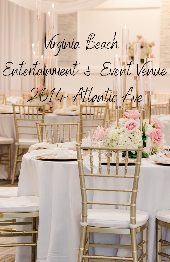Virginia Beach Entertainment & Event Venue 2014 Atlantic Ave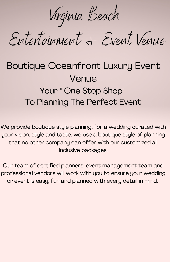Virginia Beach

Entertainment & Event Venue

## Boutique Oceanfront Luxury Event Venue Your " One Stop Shop" To Planning The Perfect Event

We provide boutique style planning, for a wedding curated with your vision, style and taste, we use a boutique style of planning that no other company can offer with our customized all inclusive packages.

Our team of certified planners, event management team and professional vendors will work with you to ensure your wedding or event is easy, fun and planned with every detail in mind.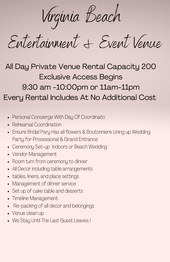Virginia Beach

Entertainment & Event Venue

All Day Private Venue Rental Capacity 200 Exclusive Access Begins 9:30 am -10:00pm or 11am-11pm Every Rental Includes At No Additional Cost

- Personal Concierge With Day Of Coordinato
- Rehearsal Coordination
- Ensure Bridal Pary Has all flowers & Boutonniere Lining up Wedding Party for Processional & Grand Entrance
- Ceremony Set-up Indoors or Beach Wedding
- Vendor Management
- Room turn from ceremony to dinner
- All Decor including table arrangements
- tables, linens, and place settings
- Management of dinner service
- Set up of cake table and desserts
- Timeline Management
- Re-packing of all decor and belongings
- Venue clean up
- We Stay Until The Last Guest Leaves !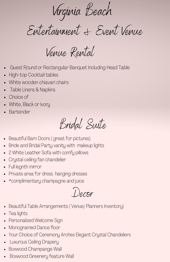Virginia Beach

Entertainment & Event Venue

Venue Rental

- Guest Round or Rectangular Banquet Including Head Table
- High-top Cocktail tables
- White wooden chiavari chairs
- Table Linens & Napkins
- Choice of
- White, Black or Ivory
- **Bartender**

Bridal Suite

- Beautiful Barn Doors (great for pictures)
- Bride and Bridal Party vanity with makeup lights
- 2 White Leather Sofa with comfy pillows
- Crystal ceiling fan chandelier
- Full legnth mirror
- Private area for dress hanging dresses
- \*complimentary champagne and juice



- Beautiful Table Arrangements ( Venue/ Planners Inventory)
- Tea lights
- Personalized Welcome Sign
- Monogramed Dance floor
- Your Choice of Ceremony Arches Elegant Crystal Chandeliers
- Luxurous Ceiling Drapery
- Boxwood Champange Wall
- Boxwood Greenery feature Wall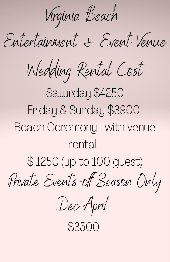Virginia Beach

Entertainment & Event Venue

Wedding Rental Cost

Saturday \$4250 Friday & Sunday \$3900 Beach Ceremony -with venue rental-

\$ 1250 (up to 100 guest)

Private Events-of Season Only

Dec-April

\$3500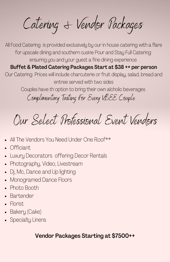Catering & Vendor Packages

All Food Catering is provided exclusively by our in house catering with a flare for upscale dining and southern cusine Pour and Stay Full Catering ensuring you and your guest a fine dining experience Buffet & Plated Catering Packages Start at \$38 ++ per person Our Catering Prices will include charcuterie or fruit display, salad, bread and entree served with two sides

Couples have th option to bring their own alcholic beverages

Complimentary Tasting For Every VBEE Couple

Our Select Professional Event Vendors

- All The Vendors You Need Under One Roof\*\*
- Officiant
- Luxury Decorators offering Decor Rentals
- Photography, Video, Livestream
- Di, Mc, Dance and Up lighting
- Monogramed Dance Floors
- Photo Booth
- Bartender
- Florist
- Bakery (Cake)
- Specialty Linens

## Vendor Packages Starting at \$7500++